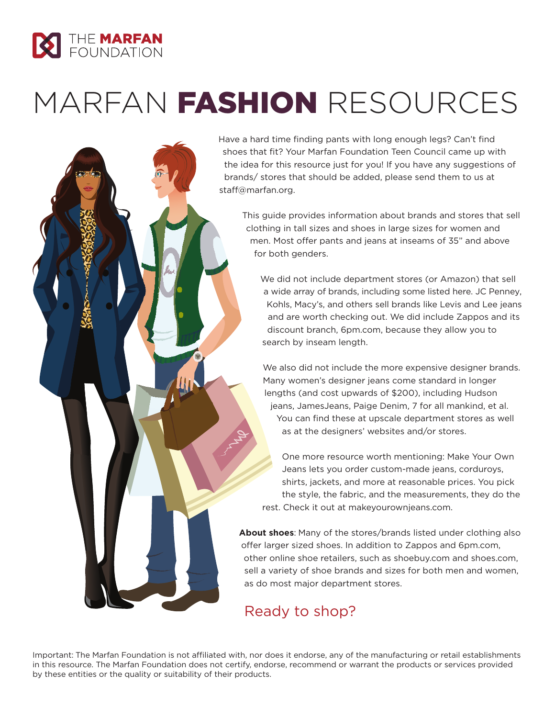

## MARFAN **FASHION** RESOURCES

Have a hard time finding pants with long enough legs? Can't find shoes that fit? Your Marfan Foundation Teen Council came up with the idea for this resource just for you! If you have any suggestions of brands/ stores that should be added, please send them to us at staff@marfan.org.

This guide provides information about brands and stores that sell clothing in tall sizes and shoes in large sizes for women and men. Most offer pants and jeans at inseams of 35" and above for both genders.

We did not include department stores (or Amazon) that sell a wide array of brands, including some listed here. JC Penney, Kohls, Macy's, and others sell brands like Levis and Lee jeans and are worth checking out. We did include Zappos and its discount branch, 6pm.com, because they allow you to search by inseam length.

We also did not include the more expensive designer brands. Many women's designer jeans come standard in longer lengths (and cost upwards of \$200), including Hudson jeans, JamesJeans, Paige Denim, 7 for all mankind, et al. You can find these at upscale department stores as well as at the designers' websites and/or stores.

One more resource worth mentioning: Make Your Own Jeans lets you order custom-made jeans, corduroys, shirts, jackets, and more at reasonable prices. You pick the style, the fabric, and the measurements, they do the rest. Check it out at makeyourownjeans.com.

**About shoes**: Many of the stores/brands listed under clothing also offer larger sized shoes. In addition to Zappos and 6pm.com, other online shoe retailers, such as shoebuy.com and shoes.com, sell a variety of shoe brands and sizes for both men and women, as do most major department stores.

## Ready to shop?

Important: The Marfan Foundation is not affiliated with, nor does it endorse, any of the manufacturing or retail establishments in this resource. The Marfan Foundation does not certify, endorse, recommend or warrant the products or services provided by these entities or the quality or suitability of their products.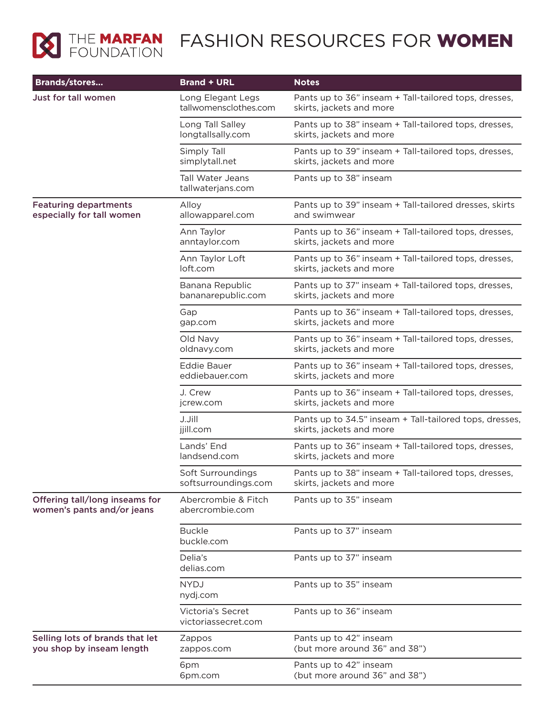

## **MEDIATION FASHION RESOURCES FOR WOMEN**

| <b>Brands/stores</b>                                         | <b>Brand + URL</b>                              | <b>Notes</b>                                                                        |
|--------------------------------------------------------------|-------------------------------------------------|-------------------------------------------------------------------------------------|
| Just for tall women                                          | Long Elegant Legs<br>tallwomensclothes.com      | Pants up to 36" inseam + Tall-tailored tops, dresses,<br>skirts, jackets and more   |
|                                                              | Long Tall Salley<br>longtallsally.com           | Pants up to 38" inseam + Tall-tailored tops, dresses,<br>skirts, jackets and more   |
|                                                              | Simply Tall<br>simplytall.net                   | Pants up to 39" inseam + Tall-tailored tops, dresses,<br>skirts, jackets and more   |
|                                                              | <b>Tall Water Jeans</b><br>tallwaterjans.com    | Pants up to 38" inseam                                                              |
| <b>Featuring departments</b><br>especially for tall women    | Alloy<br>allowapparel.com                       | Pants up to 39" inseam + Tall-tailored dresses, skirts<br>and swimwear              |
|                                                              | Ann Taylor<br>anntaylor.com                     | Pants up to 36" inseam + Tall-tailored tops, dresses,<br>skirts, jackets and more   |
|                                                              | Ann Taylor Loft<br>loft.com                     | Pants up to 36" inseam + Tall-tailored tops, dresses,<br>skirts, jackets and more   |
|                                                              | Banana Republic<br>bananarepublic.com           | Pants up to 37" inseam + Tall-tailored tops, dresses,<br>skirts, jackets and more   |
|                                                              | Gap<br>gap.com                                  | Pants up to 36" inseam + Tall-tailored tops, dresses,<br>skirts, jackets and more   |
|                                                              | Old Navy<br>oldnavy.com                         | Pants up to 36" inseam + Tall-tailored tops, dresses,<br>skirts, jackets and more   |
|                                                              | <b>Eddie Bauer</b><br>eddiebauer.com            | Pants up to 36" inseam + Tall-tailored tops, dresses,<br>skirts, jackets and more   |
|                                                              | J. Crew<br>jcrew.com                            | Pants up to 36" inseam + Tall-tailored tops, dresses,<br>skirts, jackets and more   |
|                                                              | J.Jill<br>jjill.com                             | Pants up to 34.5" inseam + Tall-tailored tops, dresses,<br>skirts, jackets and more |
|                                                              | Lands' End<br>landsend.com                      | Pants up to 36" inseam + Tall-tailored tops, dresses,<br>skirts, jackets and more   |
|                                                              | Soft Surroundings<br>softsurroundings.com       | Pants up to 38" inseam + Tall-tailored tops, dresses,<br>skirts, jackets and more   |
| Offering tall/long inseams for<br>women's pants and/or jeans | Abercrombie & Fitch<br>abercrombie.com          | Pants up to 35" inseam                                                              |
|                                                              | <b>Buckle</b><br>buckle.com                     | Pants up to 37" inseam                                                              |
|                                                              | Delia's<br>delias.com                           | Pants up to 37" inseam                                                              |
|                                                              | <b>NYDJ</b><br>nydj.com                         | Pants up to 35" inseam                                                              |
|                                                              | <b>Victoria's Secret</b><br>victoriassecret.com | Pants up to 36" inseam                                                              |
| Selling lots of brands that let<br>you shop by inseam length | Zappos<br>zappos.com                            | Pants up to 42" inseam<br>(but more around 36" and 38")                             |
|                                                              | 6pm<br>6pm.com                                  | Pants up to 42" inseam<br>(but more around 36" and 38")                             |